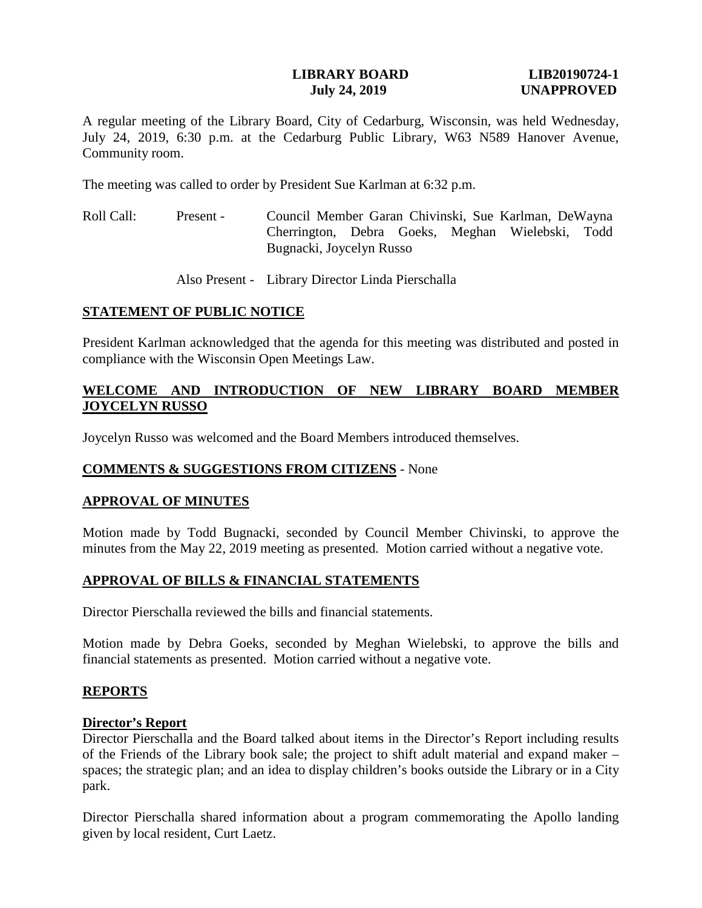### **LIBRARY BOARD LIB20190724-1 July 24, 2019 UNAPPROVED**

A regular meeting of the Library Board, City of Cedarburg, Wisconsin, was held Wednesday, July 24, 2019, 6:30 p.m. at the Cedarburg Public Library, W63 N589 Hanover Avenue, Community room.

The meeting was called to order by President Sue Karlman at 6:32 p.m.

Roll Call: Present - Council Member Garan Chivinski, Sue Karlman, DeWayna Cherrington, Debra Goeks, Meghan Wielebski, Todd Bugnacki, Joycelyn Russo

Also Present - Library Director Linda Pierschalla

## **STATEMENT OF PUBLIC NOTICE**

President Karlman acknowledged that the agenda for this meeting was distributed and posted in compliance with the Wisconsin Open Meetings Law.

# **WELCOME AND INTRODUCTION OF NEW LIBRARY BOARD MEMBER JOYCELYN RUSSO**

Joycelyn Russo was welcomed and the Board Members introduced themselves.

# **COMMENTS & SUGGESTIONS FROM CITIZENS** - None

### **APPROVAL OF MINUTES**

Motion made by Todd Bugnacki, seconded by Council Member Chivinski, to approve the minutes from the May 22, 2019 meeting as presented. Motion carried without a negative vote.

# **APPROVAL OF BILLS & FINANCIAL STATEMENTS**

Director Pierschalla reviewed the bills and financial statements.

Motion made by Debra Goeks, seconded by Meghan Wielebski, to approve the bills and financial statements as presented. Motion carried without a negative vote.

### **REPORTS**

### **Director's Report**

Director Pierschalla and the Board talked about items in the Director's Report including results of the Friends of the Library book sale; the project to shift adult material and expand maker – spaces; the strategic plan; and an idea to display children's books outside the Library or in a City park.

Director Pierschalla shared information about a program commemorating the Apollo landing given by local resident, Curt Laetz.